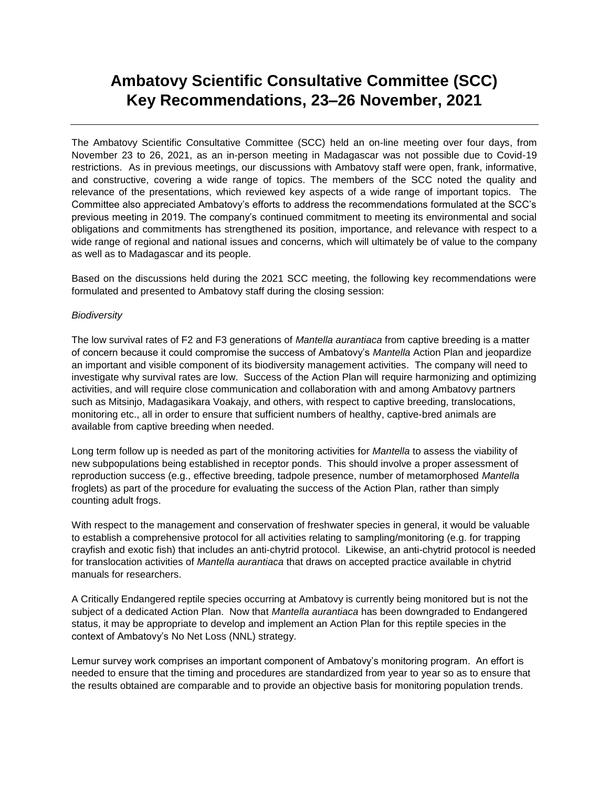# **Ambatovy Scientific Consultative Committee (SCC) Key Recommendations, 23–26 November, 2021**

The Ambatovy Scientific Consultative Committee (SCC) held an on-line meeting over four days, from November 23 to 26, 2021, as an in-person meeting in Madagascar was not possible due to Covid-19 restrictions. As in previous meetings, our discussions with Ambatovy staff were open, frank, informative, and constructive, covering a wide range of topics. The members of the SCC noted the quality and relevance of the presentations, which reviewed key aspects of a wide range of important topics. The Committee also appreciated Ambatovy's efforts to address the recommendations formulated at the SCC's previous meeting in 2019. The company's continued commitment to meeting its environmental and social obligations and commitments has strengthened its position, importance, and relevance with respect to a wide range of regional and national issues and concerns, which will ultimately be of value to the company as well as to Madagascar and its people.

Based on the discussions held during the 2021 SCC meeting, the following key recommendations were formulated and presented to Ambatovy staff during the closing session:

#### *Biodiversity*

The low survival rates of F2 and F3 generations of *Mantella aurantiaca* from captive breeding is a matter of concern because it could compromise the success of Ambatovy's *Mantella* Action Plan and jeopardize an important and visible component of its biodiversity management activities. The company will need to investigate why survival rates are low. Success of the Action Plan will require harmonizing and optimizing activities, and will require close communication and collaboration with and among Ambatovy partners such as Mitsinjo, Madagasikara Voakajy, and others, with respect to captive breeding, translocations, monitoring etc., all in order to ensure that sufficient numbers of healthy, captive-bred animals are available from captive breeding when needed.

Long term follow up is needed as part of the monitoring activities for *Mantella* to assess the viability of new subpopulations being established in receptor ponds. This should involve a proper assessment of reproduction success (e.g., effective breeding, tadpole presence, number of metamorphosed *Mantella* froglets) as part of the procedure for evaluating the success of the Action Plan, rather than simply counting adult frogs.

With respect to the management and conservation of freshwater species in general, it would be valuable to establish a comprehensive protocol for all activities relating to sampling/monitoring (e.g. for trapping crayfish and exotic fish) that includes an anti-chytrid protocol. Likewise, an anti-chytrid protocol is needed for translocation activities of *Mantella aurantiaca* that draws on accepted practice available in chytrid manuals for researchers.

A Critically Endangered reptile species occurring at Ambatovy is currently being monitored but is not the subject of a dedicated Action Plan. Now that *Mantella aurantiaca* has been downgraded to Endangered status, it may be appropriate to develop and implement an Action Plan for this reptile species in the context of Ambatovy's No Net Loss (NNL) strategy.

Lemur survey work comprises an important component of Ambatovy's monitoring program. An effort is needed to ensure that the timing and procedures are standardized from year to year so as to ensure that the results obtained are comparable and to provide an objective basis for monitoring population trends.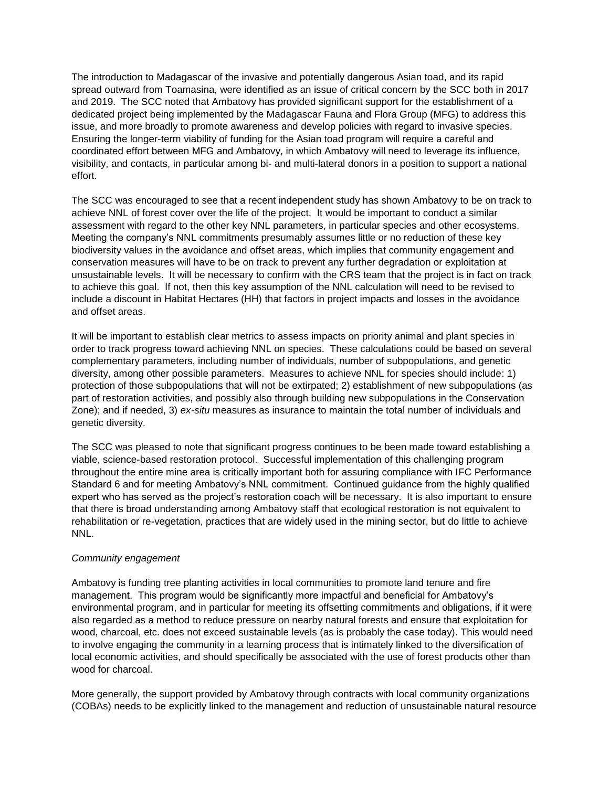The introduction to Madagascar of the invasive and potentially dangerous Asian toad, and its rapid spread outward from Toamasina, were identified as an issue of critical concern by the SCC both in 2017 and 2019. The SCC noted that Ambatovy has provided significant support for the establishment of a dedicated project being implemented by the Madagascar Fauna and Flora Group (MFG) to address this issue, and more broadly to promote awareness and develop policies with regard to invasive species. Ensuring the longer-term viability of funding for the Asian toad program will require a careful and coordinated effort between MFG and Ambatovy, in which Ambatovy will need to leverage its influence, visibility, and contacts, in particular among bi- and multi-lateral donors in a position to support a national effort.

The SCC was encouraged to see that a recent independent study has shown Ambatovy to be on track to achieve NNL of forest cover over the life of the project. It would be important to conduct a similar assessment with regard to the other key NNL parameters, in particular species and other ecosystems. Meeting the company's NNL commitments presumably assumes little or no reduction of these key biodiversity values in the avoidance and offset areas, which implies that community engagement and conservation measures will have to be on track to prevent any further degradation or exploitation at unsustainable levels. It will be necessary to confirm with the CRS team that the project is in fact on track to achieve this goal. If not, then this key assumption of the NNL calculation will need to be revised to include a discount in Habitat Hectares (HH) that factors in project impacts and losses in the avoidance and offset areas.

It will be important to establish clear metrics to assess impacts on priority animal and plant species in order to track progress toward achieving NNL on species. These calculations could be based on several complementary parameters, including number of individuals, number of subpopulations, and genetic diversity, among other possible parameters. Measures to achieve NNL for species should include: 1) protection of those subpopulations that will not be extirpated; 2) establishment of new subpopulations (as part of restoration activities, and possibly also through building new subpopulations in the Conservation Zone); and if needed, 3) *ex-situ* measures as insurance to maintain the total number of individuals and genetic diversity.

The SCC was pleased to note that significant progress continues to be been made toward establishing a viable, science-based restoration protocol. Successful implementation of this challenging program throughout the entire mine area is critically important both for assuring compliance with IFC Performance Standard 6 and for meeting Ambatovy's NNL commitment. Continued guidance from the highly qualified expert who has served as the project's restoration coach will be necessary. It is also important to ensure that there is broad understanding among Ambatovy staff that ecological restoration is not equivalent to rehabilitation or re-vegetation, practices that are widely used in the mining sector, but do little to achieve NNL.

## *Community engagement*

Ambatovy is funding tree planting activities in local communities to promote land tenure and fire management. This program would be significantly more impactful and beneficial for Ambatovy's environmental program, and in particular for meeting its offsetting commitments and obligations, if it were also regarded as a method to reduce pressure on nearby natural forests and ensure that exploitation for wood, charcoal, etc. does not exceed sustainable levels (as is probably the case today). This would need to involve engaging the community in a learning process that is intimately linked to the diversification of local economic activities, and should specifically be associated with the use of forest products other than wood for charcoal.

More generally, the support provided by Ambatovy through contracts with local community organizations (COBAs) needs to be explicitly linked to the management and reduction of unsustainable natural resource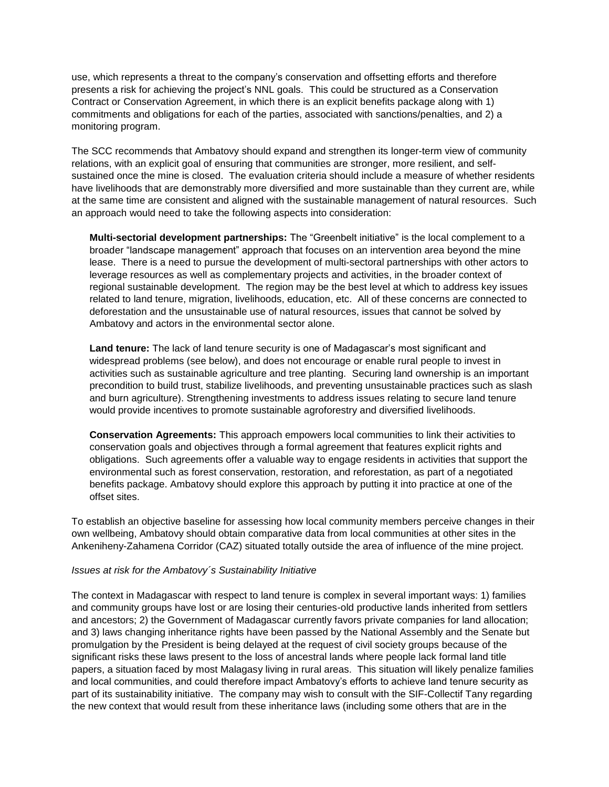use, which represents a threat to the company's conservation and offsetting efforts and therefore presents a risk for achieving the project's NNL goals. This could be structured as a Conservation Contract or Conservation Agreement, in which there is an explicit benefits package along with 1) commitments and obligations for each of the parties, associated with sanctions/penalties, and 2) a monitoring program.

The SCC recommends that Ambatovy should expand and strengthen its longer-term view of community relations, with an explicit goal of ensuring that communities are stronger, more resilient, and selfsustained once the mine is closed. The evaluation criteria should include a measure of whether residents have livelihoods that are demonstrably more diversified and more sustainable than they current are, while at the same time are consistent and aligned with the sustainable management of natural resources. Such an approach would need to take the following aspects into consideration:

**Multi-sectorial development partnerships:** The "Greenbelt initiative" is the local complement to a broader "landscape management" approach that focuses on an intervention area beyond the mine lease. There is a need to pursue the development of multi-sectoral partnerships with other actors to leverage resources as well as complementary projects and activities, in the broader context of regional sustainable development. The region may be the best level at which to address key issues related to land tenure, migration, livelihoods, education, etc. All of these concerns are connected to deforestation and the unsustainable use of natural resources, issues that cannot be solved by Ambatovy and actors in the environmental sector alone.

**Land tenure:** The lack of land tenure security is one of Madagascar's most significant and widespread problems (see below), and does not encourage or enable rural people to invest in activities such as sustainable agriculture and tree planting. Securing land ownership is an important precondition to build trust, stabilize livelihoods, and preventing unsustainable practices such as slash and burn agriculture). Strengthening investments to address issues relating to secure land tenure would provide incentives to promote sustainable agroforestry and diversified livelihoods.

**Conservation Agreements:** This approach empowers local communities to link their activities to conservation goals and objectives through a formal agreement that features explicit rights and obligations. Such agreements offer a valuable way to engage residents in activities that support the environmental such as forest conservation, restoration, and reforestation, as part of a negotiated benefits package. Ambatovy should explore this approach by putting it into practice at one of the offset sites.

To establish an objective baseline for assessing how local community members perceive changes in their own wellbeing, Ambatovy should obtain comparative data from local communities at other sites in the Ankeniheny-Zahamena Corridor (CAZ) situated totally outside the area of influence of the mine project.

#### *Issues at risk for the Ambatovy´s Sustainability Initiative*

The context in Madagascar with respect to land tenure is complex in several important ways: 1) families and community groups have lost or are losing their centuries-old productive lands inherited from settlers and ancestors; 2) the Government of Madagascar currently favors private companies for land allocation; and 3) laws changing inheritance rights have been passed by the National Assembly and the Senate but promulgation by the President is being delayed at the request of civil society groups because of the significant risks these laws present to the loss of ancestral lands where people lack formal land title papers, a situation faced by most Malagasy living in rural areas. This situation will likely penalize families and local communities, and could therefore impact Ambatovy's efforts to achieve land tenure security as part of its sustainability initiative. The company may wish to consult with the SIF-Collectif Tany regarding the new context that would result from these inheritance laws (including some others that are in the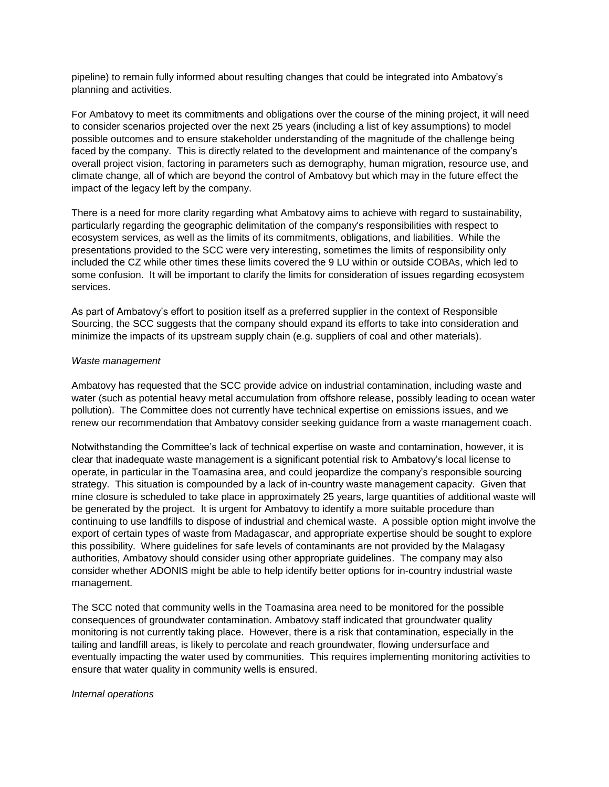pipeline) to remain fully informed about resulting changes that could be integrated into Ambatovy's planning and activities.

For Ambatovy to meet its commitments and obligations over the course of the mining project, it will need to consider scenarios projected over the next 25 years (including a list of key assumptions) to model possible outcomes and to ensure stakeholder understanding of the magnitude of the challenge being faced by the company. This is directly related to the development and maintenance of the company's overall project vision, factoring in parameters such as demography, human migration, resource use, and climate change, all of which are beyond the control of Ambatovy but which may in the future effect the impact of the legacy left by the company.

There is a need for more clarity regarding what Ambatovy aims to achieve with regard to sustainability, particularly regarding the geographic delimitation of the company's responsibilities with respect to ecosystem services, as well as the limits of its commitments, obligations, and liabilities. While the presentations provided to the SCC were very interesting, sometimes the limits of responsibility only included the CZ while other times these limits covered the 9 LU within or outside COBAs, which led to some confusion. It will be important to clarify the limits for consideration of issues regarding ecosystem services.

As part of Ambatovy's effort to position itself as a preferred supplier in the context of Responsible Sourcing, the SCC suggests that the company should expand its efforts to take into consideration and minimize the impacts of its upstream supply chain (e.g. suppliers of coal and other materials).

#### *Waste management*

Ambatovy has requested that the SCC provide advice on industrial contamination, including waste and water (such as potential heavy metal accumulation from offshore release, possibly leading to ocean water pollution). The Committee does not currently have technical expertise on emissions issues, and we renew our recommendation that Ambatovy consider seeking guidance from a waste management coach.

Notwithstanding the Committee's lack of technical expertise on waste and contamination, however, it is clear that inadequate waste management is a significant potential risk to Ambatovy's local license to operate, in particular in the Toamasina area, and could jeopardize the company's responsible sourcing strategy. This situation is compounded by a lack of in-country waste management capacity. Given that mine closure is scheduled to take place in approximately 25 years, large quantities of additional waste will be generated by the project. It is urgent for Ambatovy to identify a more suitable procedure than continuing to use landfills to dispose of industrial and chemical waste. A possible option might involve the export of certain types of waste from Madagascar, and appropriate expertise should be sought to explore this possibility. Where guidelines for safe levels of contaminants are not provided by the Malagasy authorities, Ambatovy should consider using other appropriate guidelines. The company may also consider whether ADONIS might be able to help identify better options for in-country industrial waste management.

The SCC noted that community wells in the Toamasina area need to be monitored for the possible consequences of groundwater contamination. Ambatovy staff indicated that groundwater quality monitoring is not currently taking place. However, there is a risk that contamination, especially in the tailing and landfill areas, is likely to percolate and reach groundwater, flowing undersurface and eventually impacting the water used by communities. This requires implementing monitoring activities to ensure that water quality in community wells is ensured.

#### *Internal operations*